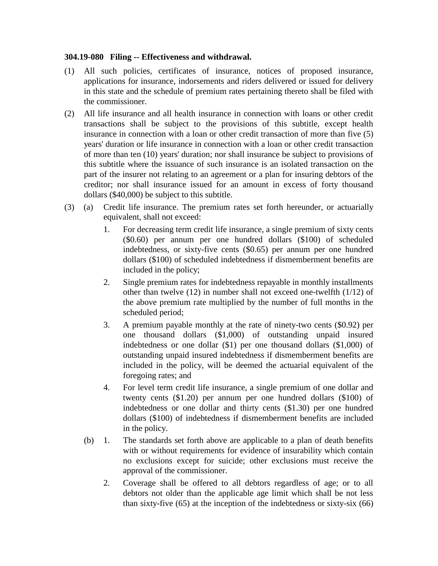## **304.19-080 Filing -- Effectiveness and withdrawal.**

- (1) All such policies, certificates of insurance, notices of proposed insurance, applications for insurance, indorsements and riders delivered or issued for delivery in this state and the schedule of premium rates pertaining thereto shall be filed with the commissioner.
- (2) All life insurance and all health insurance in connection with loans or other credit transactions shall be subject to the provisions of this subtitle, except health insurance in connection with a loan or other credit transaction of more than five (5) years' duration or life insurance in connection with a loan or other credit transaction of more than ten (10) years' duration; nor shall insurance be subject to provisions of this subtitle where the issuance of such insurance is an isolated transaction on the part of the insurer not relating to an agreement or a plan for insuring debtors of the creditor; nor shall insurance issued for an amount in excess of forty thousand dollars (\$40,000) be subject to this subtitle.
- (3) (a) Credit life insurance. The premium rates set forth hereunder, or actuarially equivalent, shall not exceed:
	- 1. For decreasing term credit life insurance, a single premium of sixty cents (\$0.60) per annum per one hundred dollars (\$100) of scheduled indebtedness, or sixty-five cents (\$0.65) per annum per one hundred dollars (\$100) of scheduled indebtedness if dismemberment benefits are included in the policy;
	- 2. Single premium rates for indebtedness repayable in monthly installments other than twelve (12) in number shall not exceed one-twelfth (1/12) of the above premium rate multiplied by the number of full months in the scheduled period;
	- 3. A premium payable monthly at the rate of ninety-two cents (\$0.92) per one thousand dollars (\$1,000) of outstanding unpaid insured indebtedness or one dollar (\$1) per one thousand dollars (\$1,000) of outstanding unpaid insured indebtedness if dismemberment benefits are included in the policy, will be deemed the actuarial equivalent of the foregoing rates; and
	- 4. For level term credit life insurance, a single premium of one dollar and twenty cents (\$1.20) per annum per one hundred dollars (\$100) of indebtedness or one dollar and thirty cents (\$1.30) per one hundred dollars (\$100) of indebtedness if dismemberment benefits are included in the policy.
	- (b) 1. The standards set forth above are applicable to a plan of death benefits with or without requirements for evidence of insurability which contain no exclusions except for suicide; other exclusions must receive the approval of the commissioner.
		- 2. Coverage shall be offered to all debtors regardless of age; or to all debtors not older than the applicable age limit which shall be not less than sixty-five (65) at the inception of the indebtedness or sixty-six (66)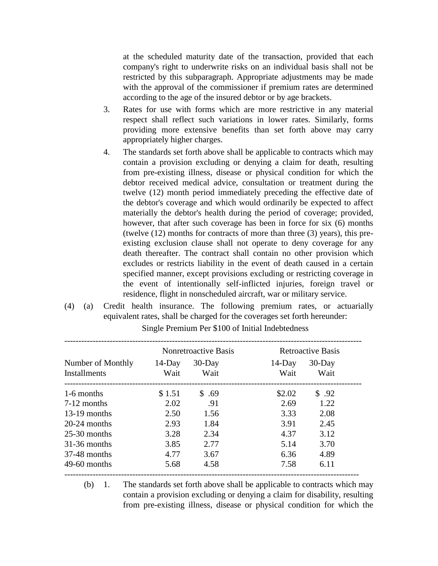at the scheduled maturity date of the transaction, provided that each company's right to underwrite risks on an individual basis shall not be restricted by this subparagraph. Appropriate adjustments may be made with the approval of the commissioner if premium rates are determined according to the age of the insured debtor or by age brackets.

- 3. Rates for use with forms which are more restrictive in any material respect shall reflect such variations in lower rates. Similarly, forms providing more extensive benefits than set forth above may carry appropriately higher charges.
- 4. The standards set forth above shall be applicable to contracts which may contain a provision excluding or denying a claim for death, resulting from pre-existing illness, disease or physical condition for which the debtor received medical advice, consultation or treatment during the twelve (12) month period immediately preceding the effective date of the debtor's coverage and which would ordinarily be expected to affect materially the debtor's health during the period of coverage; provided, however, that after such coverage has been in force for six (6) months (twelve (12) months for contracts of more than three (3) years), this preexisting exclusion clause shall not operate to deny coverage for any death thereafter. The contract shall contain no other provision which excludes or restricts liability in the event of death caused in a certain specified manner, except provisions excluding or restricting coverage in the event of intentionally self-inflicted injuries, foreign travel or residence, flight in nonscheduled aircraft, war or military service.
- (4) (a) Credit health insurance. The following premium rates, or actuarially equivalent rates, shall be charged for the coverages set forth hereunder:

| Number of Monthly<br>Installments | Nonretroactive Basis |                   | <b>Retroactive Basis</b> |                   |
|-----------------------------------|----------------------|-------------------|--------------------------|-------------------|
|                                   | $14$ -Day<br>Wait    | $30$ -Day<br>Wait | $14$ -Day<br>Wait        | $30$ -Day<br>Wait |
| 1-6 months                        | \$1.51               | \$ .69            | \$2.02                   | \$.92             |
| $7-12$ months                     | 2.02                 | .91               | 2.69                     | 1.22              |
| $13-19$ months                    | 2.50                 | 1.56              | 3.33                     | 2.08              |
| $20-24$ months                    | 2.93                 | 1.84              | 3.91                     | 2.45              |
| $25-30$ months                    | 3.28                 | 2.34              | 4.37                     | 3.12              |
| $31-36$ months                    | 3.85                 | 2.77              | 5.14                     | 3.70              |
| 37-48 months                      | 4.77                 | 3.67              | 6.36                     | 4.89              |
| $49-60$ months                    | 5.68                 | 4.58              | 7.58                     | 6.11              |

Single Premium Per \$100 of Initial Indebtedness

(b) 1. The standards set forth above shall be applicable to contracts which may contain a provision excluding or denying a claim for disability, resulting from pre-existing illness, disease or physical condition for which the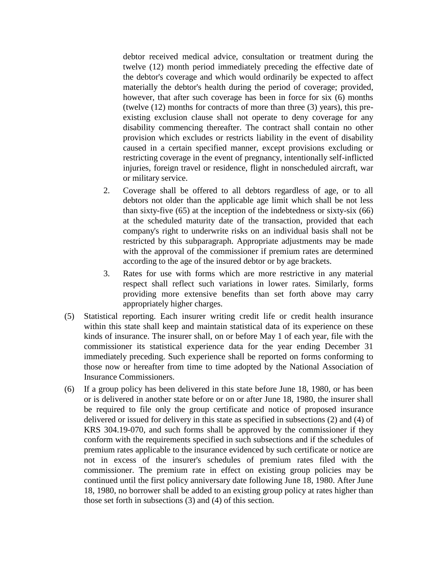debtor received medical advice, consultation or treatment during the twelve (12) month period immediately preceding the effective date of the debtor's coverage and which would ordinarily be expected to affect materially the debtor's health during the period of coverage; provided, however, that after such coverage has been in force for six (6) months (twelve (12) months for contracts of more than three (3) years), this preexisting exclusion clause shall not operate to deny coverage for any disability commencing thereafter. The contract shall contain no other provision which excludes or restricts liability in the event of disability caused in a certain specified manner, except provisions excluding or restricting coverage in the event of pregnancy, intentionally self-inflicted injuries, foreign travel or residence, flight in nonscheduled aircraft, war or military service.

- 2. Coverage shall be offered to all debtors regardless of age, or to all debtors not older than the applicable age limit which shall be not less than sixty-five (65) at the inception of the indebtedness or sixty-six (66) at the scheduled maturity date of the transaction, provided that each company's right to underwrite risks on an individual basis shall not be restricted by this subparagraph. Appropriate adjustments may be made with the approval of the commissioner if premium rates are determined according to the age of the insured debtor or by age brackets.
- 3. Rates for use with forms which are more restrictive in any material respect shall reflect such variations in lower rates. Similarly, forms providing more extensive benefits than set forth above may carry appropriately higher charges.
- (5) Statistical reporting. Each insurer writing credit life or credit health insurance within this state shall keep and maintain statistical data of its experience on these kinds of insurance. The insurer shall, on or before May 1 of each year, file with the commissioner its statistical experience data for the year ending December 31 immediately preceding. Such experience shall be reported on forms conforming to those now or hereafter from time to time adopted by the National Association of Insurance Commissioners.
- (6) If a group policy has been delivered in this state before June 18, 1980, or has been or is delivered in another state before or on or after June 18, 1980, the insurer shall be required to file only the group certificate and notice of proposed insurance delivered or issued for delivery in this state as specified in subsections (2) and (4) of KRS 304.19-070, and such forms shall be approved by the commissioner if they conform with the requirements specified in such subsections and if the schedules of premium rates applicable to the insurance evidenced by such certificate or notice are not in excess of the insurer's schedules of premium rates filed with the commissioner. The premium rate in effect on existing group policies may be continued until the first policy anniversary date following June 18, 1980. After June 18, 1980, no borrower shall be added to an existing group policy at rates higher than those set forth in subsections (3) and (4) of this section.